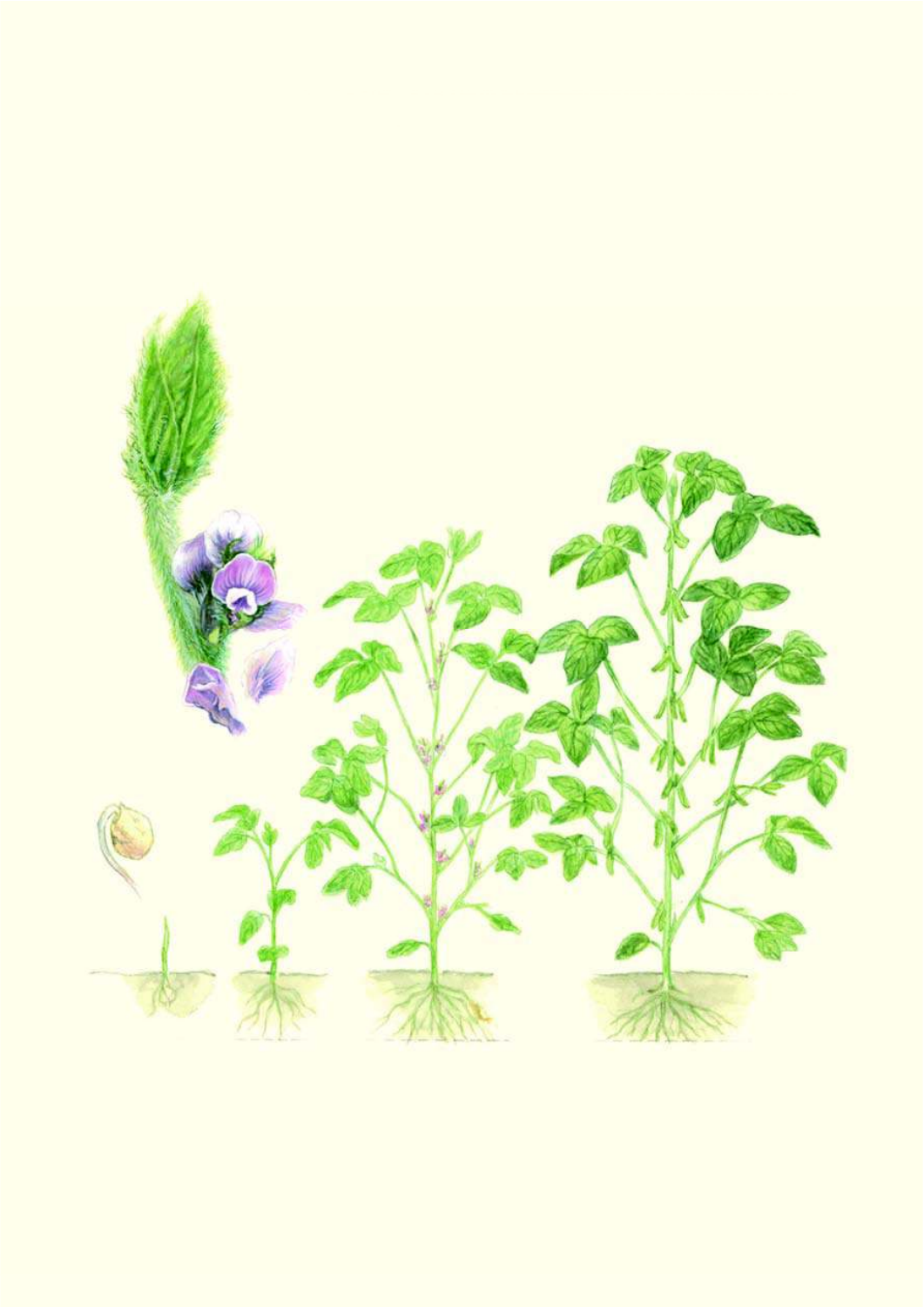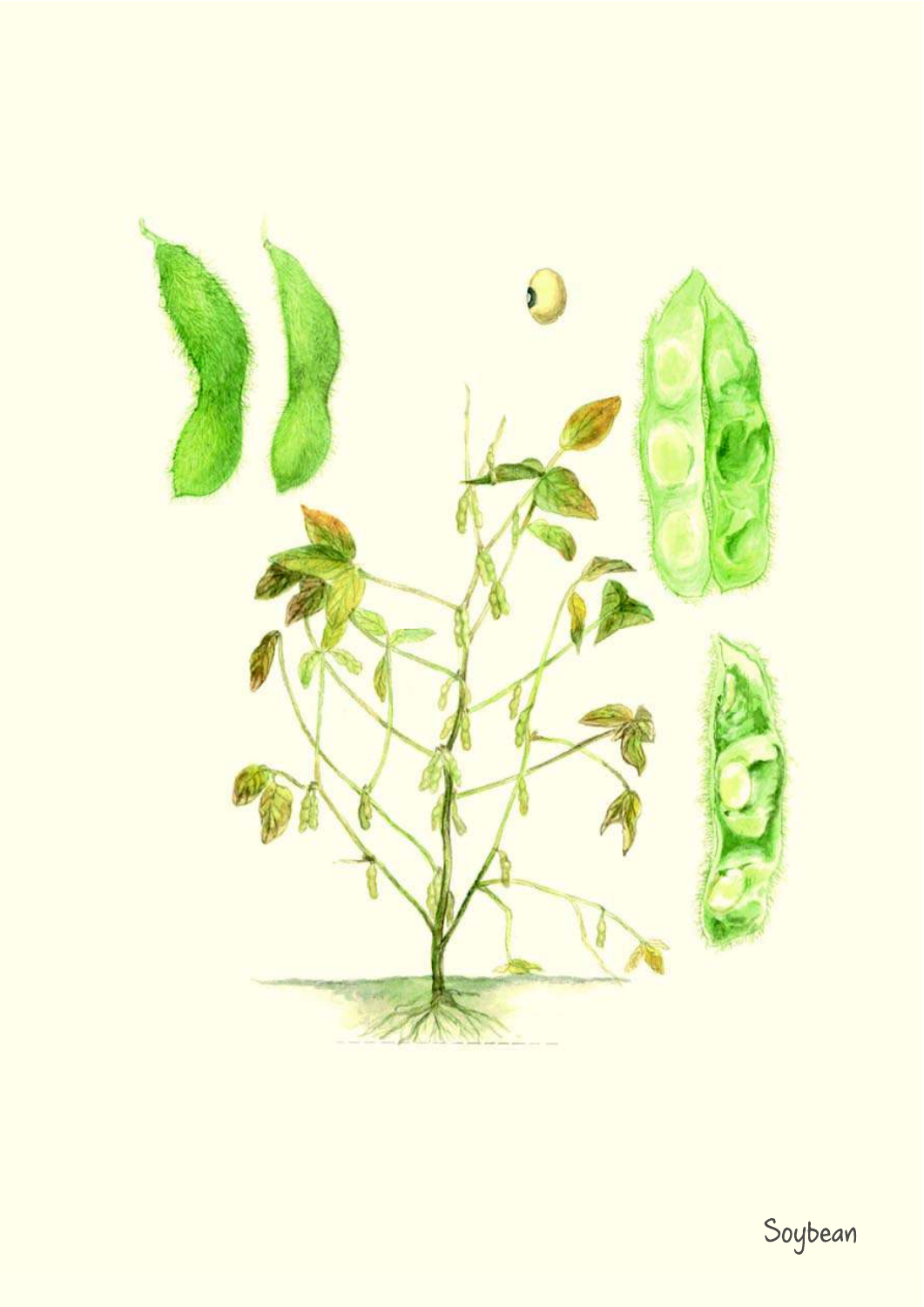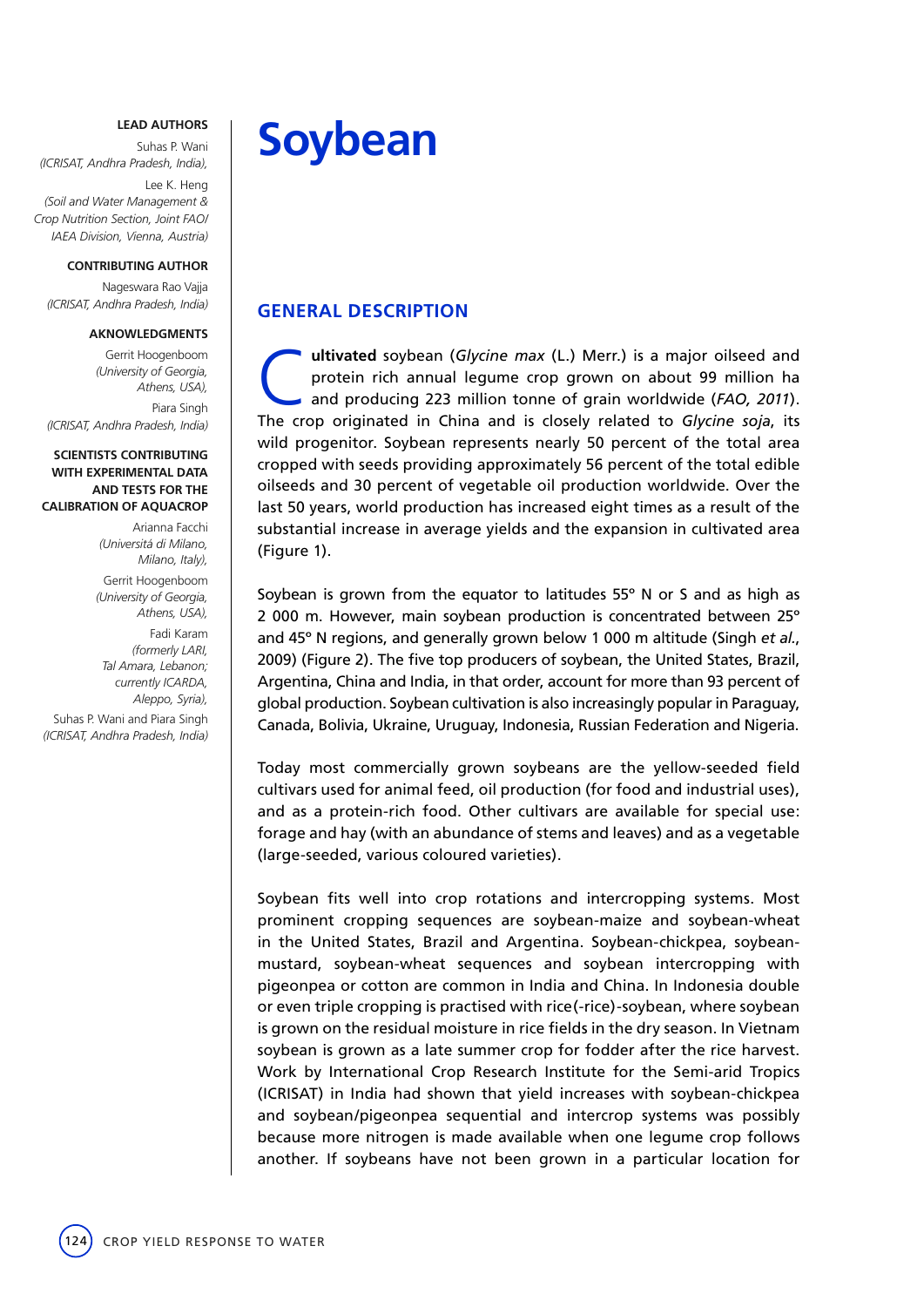Suhas P. Wani *(ICRISAT, Andhra Pradesh, India),*

Lee K. Heng *(Soil and Water Management & Crop Nutrition Section, Joint FAO/ IAEA Division, Vienna, Austria)*

#### **CONTRIBUTING AUTHOR**

Nageswara Rao Vajja *(ICRISAT, Andhra Pradesh, India)*

#### **AKNOWLEDGMENTS**

Gerrit Hoogenboom *(University of Georgia, Athens, USA),* Piara Singh *(ICRISAT, Andhra Pradesh, India)*

#### **SCIENTISTS CONTRIBUTING WITH EXPERIMENTAL DATA AND TESTS FOR THE CALIBRATION OF AQUACROP**

Arianna Facchi *(Universitá di Milano, Milano, Italy),* Gerrit Hoogenboom *(University of Georgia, Athens, USA),* Fadi Karam *(formerly LARI, Tal Amara, Lebanon; currently ICARDA, Aleppo, Syria),* Suhas P. Wani and Piara Singh *(ICRISAT, Andhra Pradesh, India)*

# LEAD AUTHORS | **SOYbean**

# **GENERAL DESCRIPTION**

ultivated soybean (*Glycine max* (L.) Merr.) is a major oilseed and protein rich annual legume crop grown on about 99 million ha and producing 223 million tonne of grain worldwide (*FAO*, 2011). The crop originated in Chin **ultivated** soybean (*Glycine max* (L.) Merr.) is a major oilseed and protein rich annual legume crop grown on about 99 million ha and producing 223 million tonne of grain worldwide (*FAO, 2011*). wild progenitor. Soybean represents nearly 50 percent of the total area cropped with seeds providing approximately 56 percent of the total edible oilseeds and 30 percent of vegetable oil production worldwide. Over the last 50 years, world production has increased eight times as a result of the substantial increase in average yields and the expansion in cultivated area (Figure 1).

Soybean is grown from the equator to latitudes 55º N or S and as high as 2 000 m. However, main soybean production is concentrated between 25º and 45º N regions, and generally grown below 1 000 m altitude (Singh *et al.*, 2009) (Figure 2). The five top producers of soybean, the United States, Brazil, Argentina, China and India, in that order, account for more than 93 percent of global production. Soybean cultivation is also increasingly popular in Paraguay, Canada, Bolivia, Ukraine, Uruguay, Indonesia, Russian Federation and Nigeria.

Today most commercially grown soybeans are the yellow-seeded field cultivars used for animal feed, oil production (for food and industrial uses), and as a protein-rich food. Other cultivars are available for special use: forage and hay (with an abundance of stems and leaves) and as a vegetable (large-seeded, various coloured varieties).

Soybean fits well into crop rotations and intercropping systems. Most prominent cropping sequences are soybean-maize and soybean-wheat in the United States, Brazil and Argentina. Soybean-chickpea, soybeanmustard, soybean-wheat sequences and soybean intercropping with pigeonpea or cotton are common in India and China. In Indonesia double or even triple cropping is practised with rice(-rice)-soybean, where soybean is grown on the residual moisture in rice fields in the dry season. In Vietnam soybean is grown as a late summer crop for fodder after the rice harvest. Work by International Crop Research Institute for the Semi-arid Tropics (ICRISAT) in India had shown that yield increases with soybean-chickpea and soybean/pigeonpea sequential and intercrop systems was possibly because more nitrogen is made available when one legume crop follows another. If soybeans have not been grown in a particular location for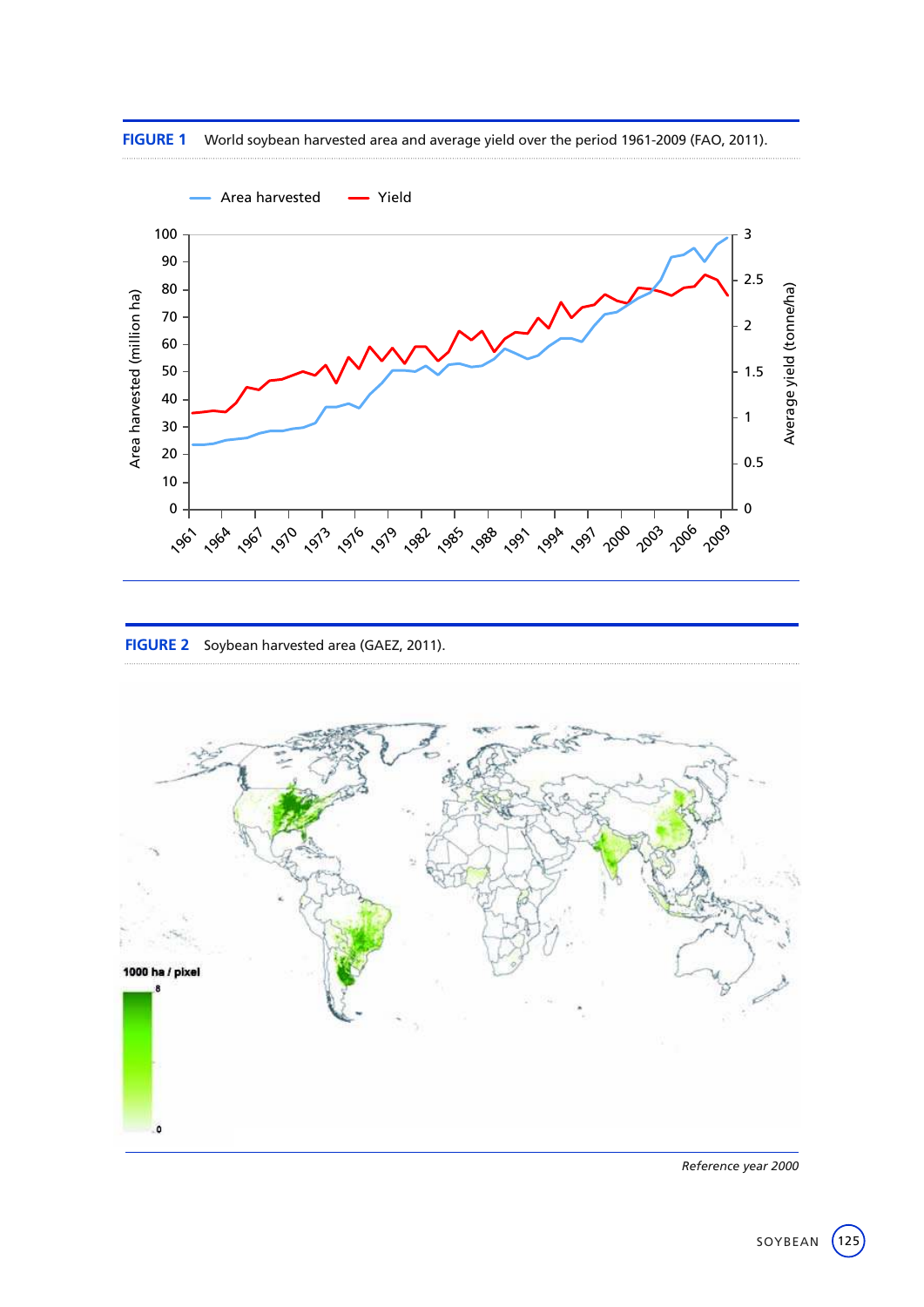

**FIGURE 1** World soybean harvested area and average yield over the period 1961-2009 (FAO, 2011).





*Reference year 2000*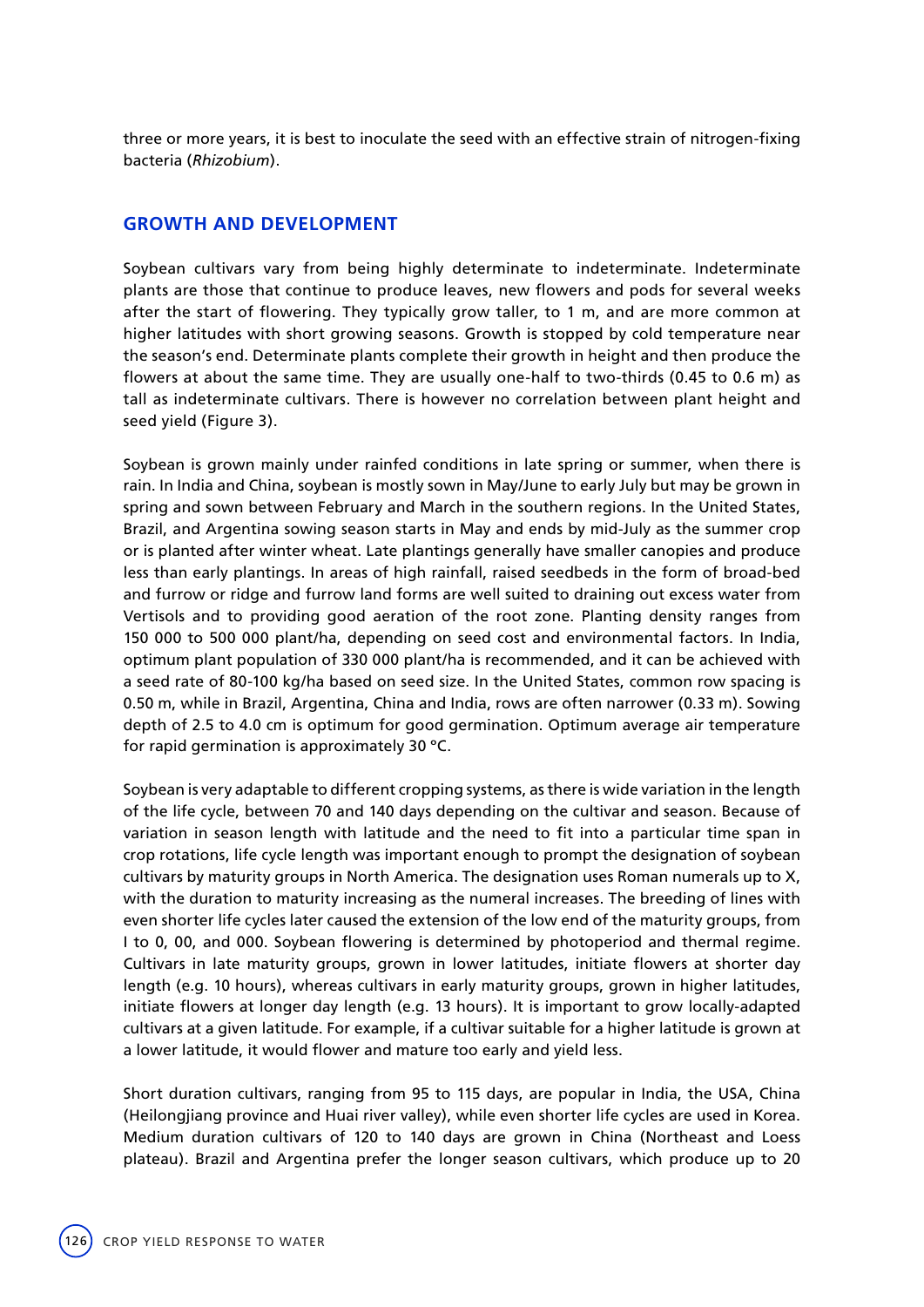three or more years, it is best to inoculate the seed with an effective strain of nitrogen-fixing bacteria (*Rhizobium*).

#### **GROWTH AND DEVELOPMENT**

Soybean cultivars vary from being highly determinate to indeterminate. Indeterminate plants are those that continue to produce leaves, new flowers and pods for several weeks after the start of flowering. They typically grow taller, to 1 m, and are more common at higher latitudes with short growing seasons. Growth is stopped by cold temperature near the season's end. Determinate plants complete their growth in height and then produce the flowers at about the same time. They are usually one-half to two-thirds (0.45 to 0.6 m) as tall as indeterminate cultivars. There is however no correlation between plant height and seed yield (Figure 3).

Soybean is grown mainly under rainfed conditions in late spring or summer, when there is rain. In India and China, soybean is mostly sown in May/June to early July but may be grown in spring and sown between February and March in the southern regions. In the United States, Brazil, and Argentina sowing season starts in May and ends by mid-July as the summer crop or is planted after winter wheat. Late plantings generally have smaller canopies and produce less than early plantings. In areas of high rainfall, raised seedbeds in the form of broad-bed and furrow or ridge and furrow land forms are well suited to draining out excess water from Vertisols and to providing good aeration of the root zone. Planting density ranges from 150 000 to 500 000 plant/ha, depending on seed cost and environmental factors. In India, optimum plant population of 330 000 plant/ha is recommended, and it can be achieved with a seed rate of 80-100 kg/ha based on seed size. In the United States, common row spacing is 0.50 m, while in Brazil, Argentina, China and India, rows are often narrower (0.33 m). Sowing depth of 2.5 to 4.0 cm is optimum for good germination. Optimum average air temperature for rapid germination is approximately 30 ºC.

Soybean is very adaptable to different cropping systems, as there is wide variation in the length of the life cycle, between 70 and 140 days depending on the cultivar and season. Because of variation in season length with latitude and the need to fit into a particular time span in crop rotations, life cycle length was important enough to prompt the designation of soybean cultivars by maturity groups in North America. The designation uses Roman numerals up to X, with the duration to maturity increasing as the numeral increases. The breeding of lines with even shorter life cycles later caused the extension of the low end of the maturity groups, from I to 0, 00, and 000. Soybean flowering is determined by photoperiod and thermal regime. Cultivars in late maturity groups, grown in lower latitudes, initiate flowers at shorter day length (e.g. 10 hours), whereas cultivars in early maturity groups, grown in higher latitudes, initiate flowers at longer day length (e.g. 13 hours). It is important to grow locally-adapted cultivars at a given latitude. For example, if a cultivar suitable for a higher latitude is grown at a lower latitude, it would flower and mature too early and yield less.

Short duration cultivars, ranging from 95 to 115 days, are popular in India, the USA, China (Heilongjiang province and Huai river valley), while even shorter life cycles are used in Korea. Medium duration cultivars of 120 to 140 days are grown in China (Northeast and Loess plateau). Brazil and Argentina prefer the longer season cultivars, which produce up to 20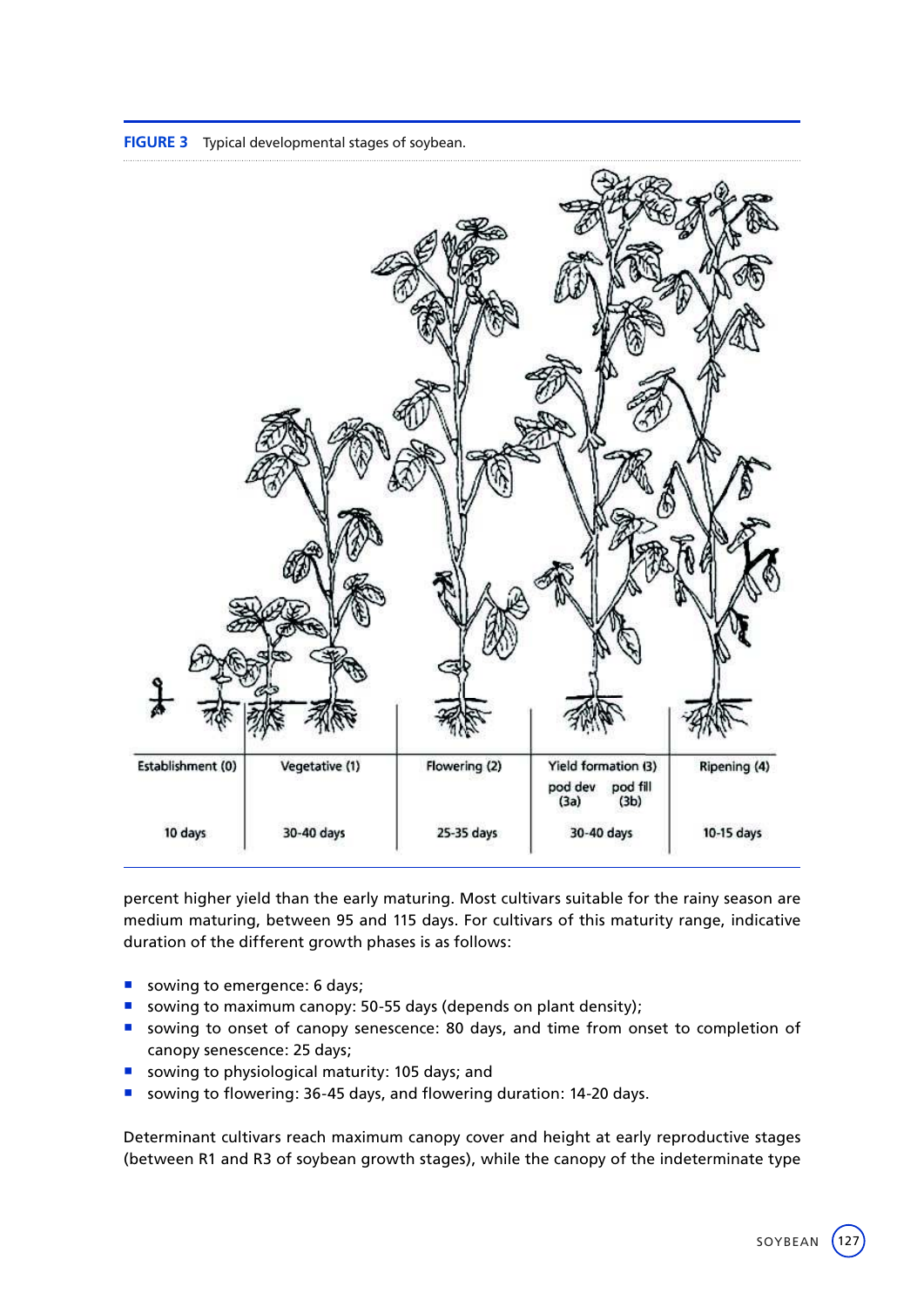

percent higher yield than the early maturing. Most cultivars suitable for the rainy season are medium maturing, between 95 and 115 days. For cultivars of this maturity range, indicative duration of the different growth phases is as follows:

- sowing to emergence: 6 days;
- sowing to maximum canopy: 50-55 days (depends on plant density);
- sowing to onset of canopy senescence: 80 days, and time from onset to completion of canopy senescence: 25 days;
- sowing to physiological maturity: 105 days; and
- sowing to flowering: 36-45 days, and flowering duration: 14-20 days.

Determinant cultivars reach maximum canopy cover and height at early reproductive stages (between R1 and R3 of soybean growth stages), while the canopy of the indeterminate type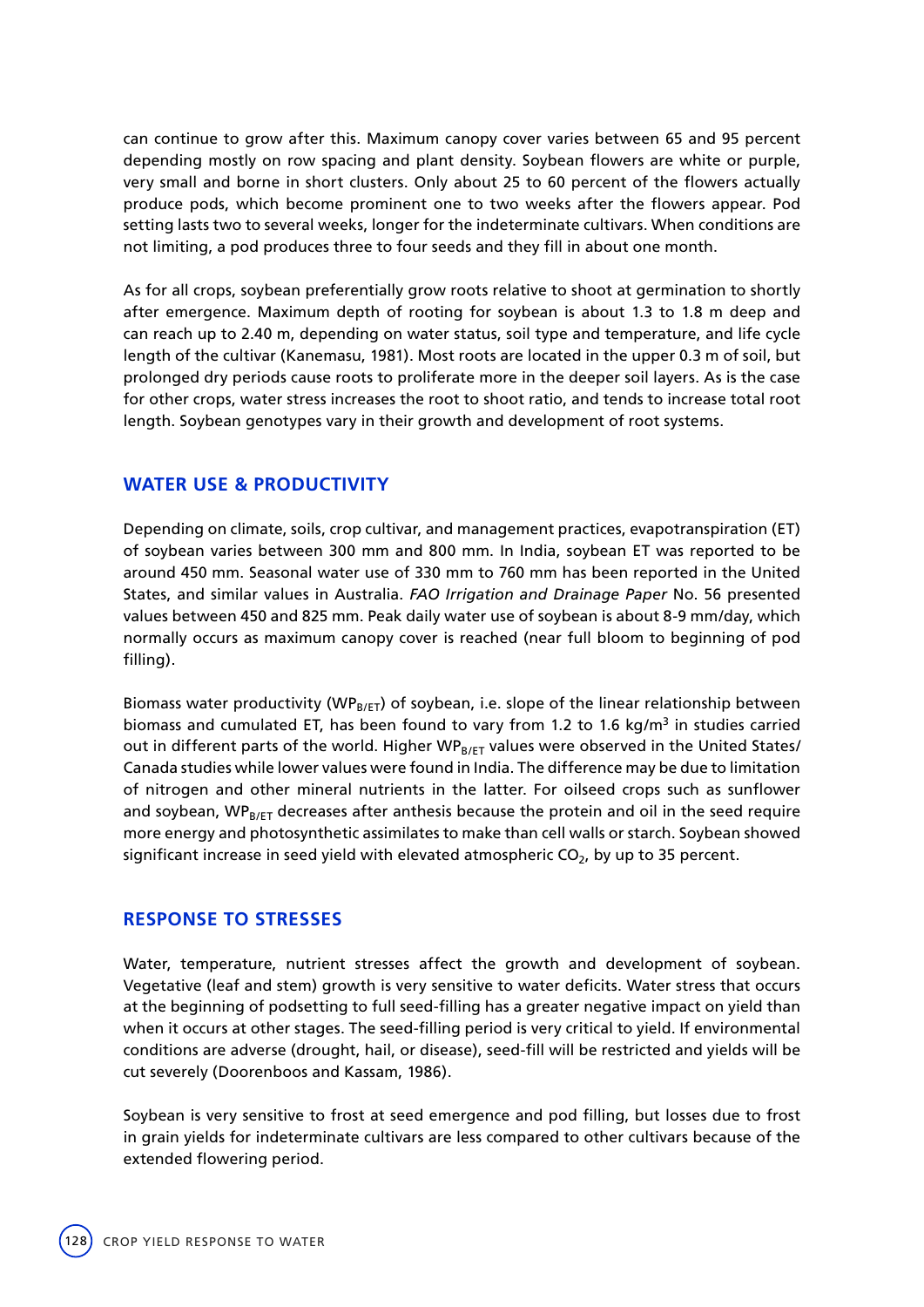can continue to grow after this. Maximum canopy cover varies between 65 and 95 percent depending mostly on row spacing and plant density. Soybean flowers are white or purple, very small and borne in short clusters. Only about 25 to 60 percent of the flowers actually produce pods, which become prominent one to two weeks after the flowers appear. Pod setting lasts two to several weeks, longer for the indeterminate cultivars. When conditions are not limiting, a pod produces three to four seeds and they fill in about one month.

As for all crops, soybean preferentially grow roots relative to shoot at germination to shortly after emergence. Maximum depth of rooting for soybean is about 1.3 to 1.8 m deep and can reach up to 2.40 m, depending on water status, soil type and temperature, and life cycle length of the cultivar (Kanemasu, 1981). Most roots are located in the upper 0.3 m of soil, but prolonged dry periods cause roots to proliferate more in the deeper soil layers. As is the case for other crops, water stress increases the root to shoot ratio, and tends to increase total root length. Soybean genotypes vary in their growth and development of root systems.

# **WATER USE & PRODUCTIVITY**

Depending on climate, soils, crop cultivar, and management practices, evapotranspiration (ET) of soybean varies between 300 mm and 800 mm. In India, soybean ET was reported to be around 450 mm. Seasonal water use of 330 mm to 760 mm has been reported in the United States, and similar values in Australia. *FAO Irrigation and Drainage Paper* No. 56 presented values between 450 and 825 mm. Peak daily water use of soybean is about 8-9 mm/day, which normally occurs as maximum canopy cover is reached (near full bloom to beginning of pod filling).

Biomass water productivity (WP<sub>B/FT</sub>) of soybean, i.e. slope of the linear relationship between biomass and cumulated ET, has been found to vary from 1.2 to 1.6 kg/m<sup>3</sup> in studies carried out in different parts of the world. Higher WP<sub>B/ET</sub> values were observed in the United States/ Canada studies while lower values were found in India. The difference may be due to limitation of nitrogen and other mineral nutrients in the latter. For oilseed crops such as sunflower and soybean,  $WP_{B/FT}$  decreases after anthesis because the protein and oil in the seed require more energy and photosynthetic assimilates to make than cell walls or starch. Soybean showed significant increase in seed yield with elevated atmospheric CO<sub>2</sub>, by up to 35 percent.

# **RESPONSE TO STRESSES**

Water, temperature, nutrient stresses affect the growth and development of soybean. Vegetative (leaf and stem) growth is very sensitive to water deficits. Water stress that occurs at the beginning of podsetting to full seed-filling has a greater negative impact on yield than when it occurs at other stages. The seed-filling period is very critical to yield. If environmental conditions are adverse (drought, hail, or disease), seed-fill will be restricted and yields will be cut severely (Doorenboos and Kassam, 1986).

Soybean is very sensitive to frost at seed emergence and pod filling, but losses due to frost in grain yields for indeterminate cultivars are less compared to other cultivars because of the extended flowering period.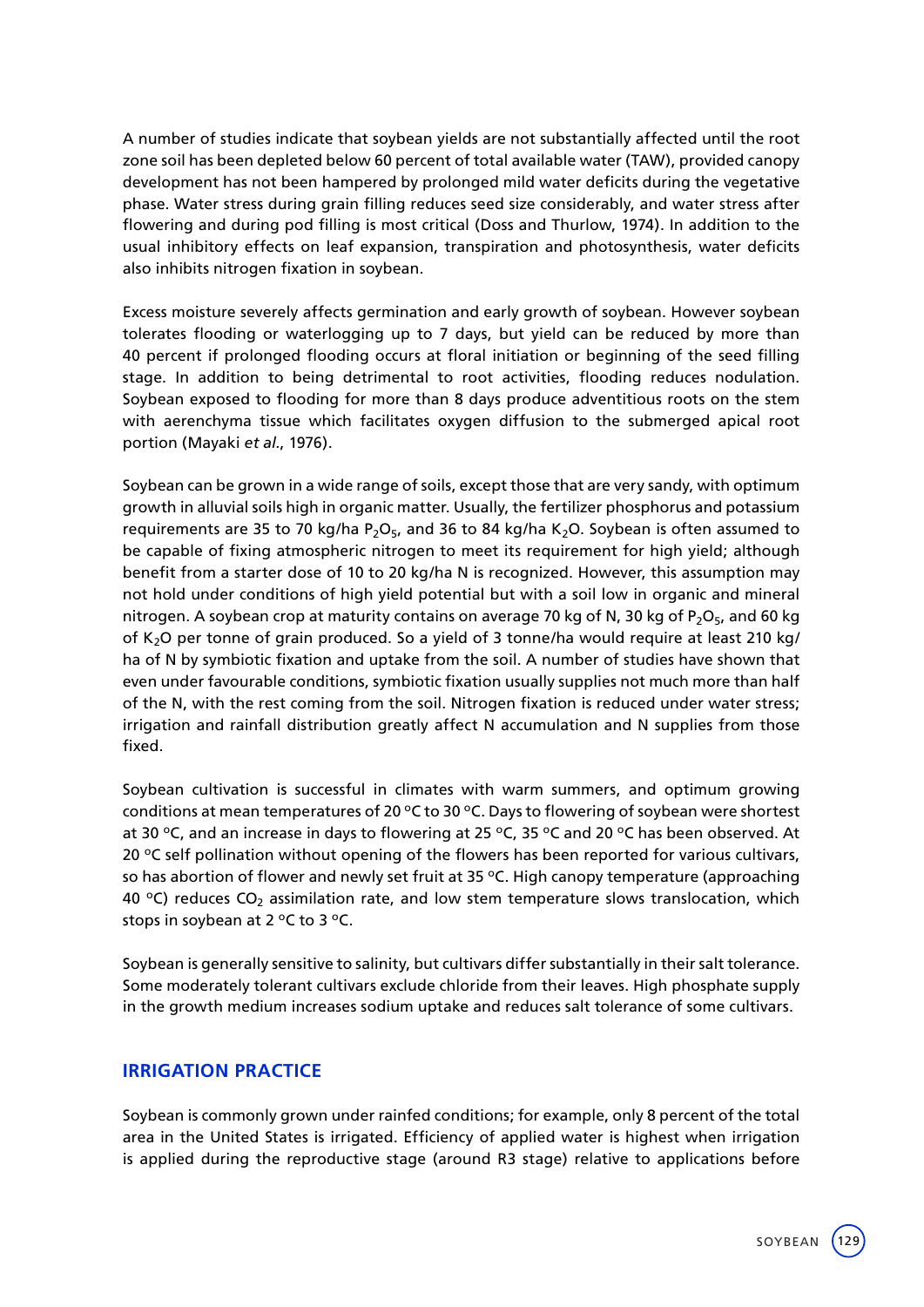A number of studies indicate that soybean yields are not substantially affected until the root zone soil has been depleted below 60 percent of total available water (TAW), provided canopy development has not been hampered by prolonged mild water deficits during the vegetative phase. Water stress during grain filling reduces seed size considerably, and water stress after flowering and during pod filling is most critical (Doss and Thurlow, 1974). In addition to the usual inhibitory effects on leaf expansion, transpiration and photosynthesis, water deficits also inhibits nitrogen fixation in soybean.

Excess moisture severely affects germination and early growth of soybean. However soybean tolerates flooding or waterlogging up to 7 days, but yield can be reduced by more than 40 percent if prolonged flooding occurs at floral initiation or beginning of the seed filling stage. In addition to being detrimental to root activities, flooding reduces nodulation. Soybean exposed to flooding for more than 8 days produce adventitious roots on the stem with aerenchyma tissue which facilitates oxygen diffusion to the submerged apical root portion (Mayaki *et al.*, 1976).

Soybean can be grown in a wide range of soils, except those that are very sandy, with optimum growth in alluvial soils high in organic matter. Usually, the fertilizer phosphorus and potassium requirements are 35 to 70 kg/ha  $P_2O_5$ , and 36 to 84 kg/ha K<sub>2</sub>O. Soybean is often assumed to be capable of fixing atmospheric nitrogen to meet its requirement for high yield; although benefit from a starter dose of 10 to 20 kg/ha N is recognized. However, this assumption may not hold under conditions of high yield potential but with a soil low in organic and mineral nitrogen. A soybean crop at maturity contains on average 70 kg of N, 30 kg of P $_2$ O<sub>5</sub>, and 60 kg of K2O per tonne of grain produced. So a yield of 3 tonne/ha would require at least 210 kg/ ha of N by symbiotic fixation and uptake from the soil. A number of studies have shown that even under favourable conditions, symbiotic fixation usually supplies not much more than half of the N, with the rest coming from the soil. Nitrogen fixation is reduced under water stress; irrigation and rainfall distribution greatly affect N accumulation and N supplies from those fixed.

Soybean cultivation is successful in climates with warm summers, and optimum growing conditions at mean temperatures of 20 °C to 30 °C. Days to flowering of soybean were shortest at 30 °C, and an increase in days to flowering at 25 °C, 35 °C and 20 °C has been observed. At 20  $\degree$ C self pollination without opening of the flowers has been reported for various cultivars, so has abortion of flower and newly set fruit at 35 °C. High canopy temperature (approaching 40 °C) reduces CO<sub>2</sub> assimilation rate, and low stem temperature slows translocation, which stops in soybean at  $2^{\circ}$ C to  $3^{\circ}$ C.

Soybean is generally sensitive to salinity, but cultivars differ substantially in their salt tolerance. Some moderately tolerant cultivars exclude chloride from their leaves. High phosphate supply in the growth medium increases sodium uptake and reduces salt tolerance of some cultivars.

### **IRRIGATION PRACTICE**

Soybean is commonly grown under rainfed conditions; for example, only 8 percent of the total area in the United States is irrigated. Efficiency of applied water is highest when irrigation is applied during the reproductive stage (around R3 stage) relative to applications before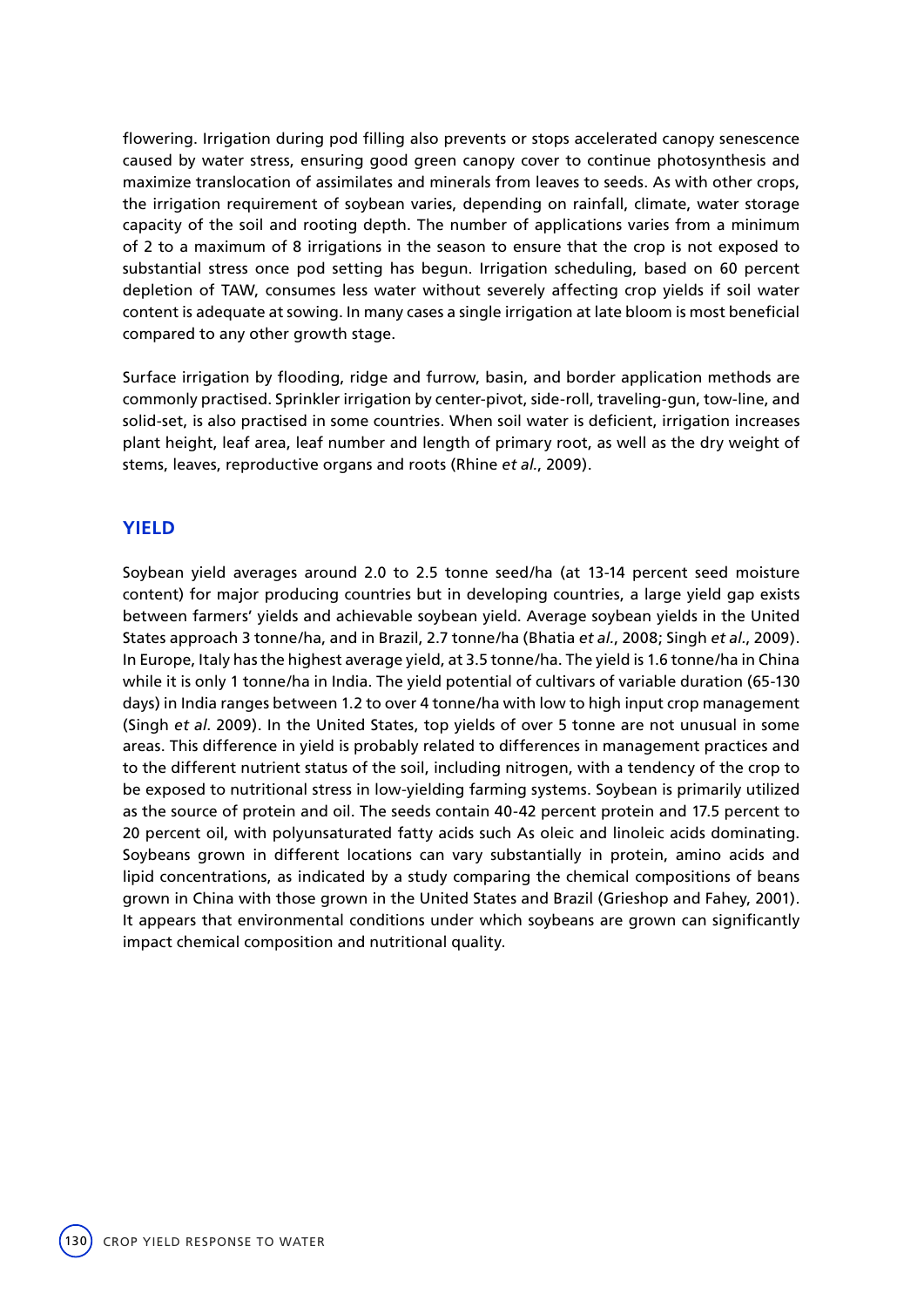flowering. Irrigation during pod filling also prevents or stops accelerated canopy senescence caused by water stress, ensuring good green canopy cover to continue photosynthesis and maximize translocation of assimilates and minerals from leaves to seeds. As with other crops, the irrigation requirement of soybean varies, depending on rainfall, climate, water storage capacity of the soil and rooting depth. The number of applications varies from a minimum of 2 to a maximum of 8 irrigations in the season to ensure that the crop is not exposed to substantial stress once pod setting has begun. Irrigation scheduling, based on 60 percent depletion of TAW, consumes less water without severely affecting crop yields if soil water content is adequate at sowing. In many cases a single irrigation at late bloom is most beneficial compared to any other growth stage.

Surface irrigation by flooding, ridge and furrow, basin, and border application methods are commonly practised. Sprinkler irrigation by center-pivot, side-roll, traveling-gun, tow-line, and solid-set, is also practised in some countries. When soil water is deficient, irrigation increases plant height, leaf area, leaf number and length of primary root, as well as the dry weight of stems, leaves, reproductive organs and roots (Rhine *et al.*, 2009).

### **YIELD**

Soybean yield averages around 2.0 to 2.5 tonne seed/ha (at 13-14 percent seed moisture content) for major producing countries but in developing countries, a large yield gap exists between farmers' yields and achievable soybean yield. Average soybean yields in the United States approach 3 tonne/ha, and in Brazil, 2.7 tonne/ha (Bhatia *et al.*, 2008; Singh *et al.*, 2009). In Europe, Italy has the highest average yield, at 3.5 tonne/ha. The yield is 1.6 tonne/ha in China while it is only 1 tonne/ha in India. The yield potential of cultivars of variable duration (65-130 days) in India ranges between 1.2 to over 4 tonne/ha with low to high input crop management (Singh *et al*. 2009). In the United States, top yields of over 5 tonne are not unusual in some areas. This difference in yield is probably related to differences in management practices and to the different nutrient status of the soil, including nitrogen, with a tendency of the crop to be exposed to nutritional stress in low-yielding farming systems. Soybean is primarily utilized as the source of protein and oil. The seeds contain 40-42 percent protein and 17.5 percent to 20 percent oil, with polyunsaturated fatty acids such As oleic and linoleic acids dominating. Soybeans grown in different locations can vary substantially in protein, amino acids and lipid concentrations, as indicated by a study comparing the chemical compositions of beans grown in China with those grown in the United States and Brazil (Grieshop and Fahey, 2001). It appears that environmental conditions under which soybeans are grown can significantly impact chemical composition and nutritional quality.